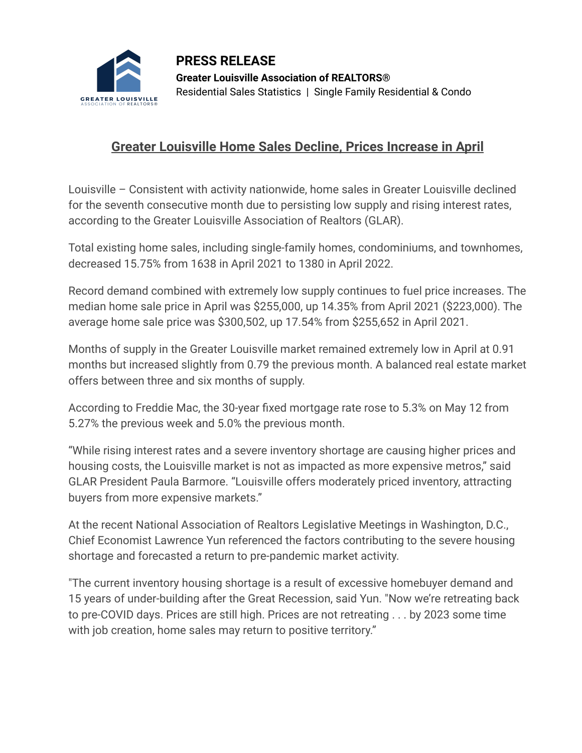

## **Greater Louisville Home Sales Decline, Prices Increase in April**

Louisville – Consistent with activity nationwide, home sales in Greater Louisville declined for the seventh consecutive month due to persisting low supply and rising interest rates, according to the Greater Louisville Association of Realtors (GLAR).

Total existing home sales, including single-family homes, condominiums, and townhomes, decreased 15.75% from 1638 in April 2021 to 1380 in April 2022.

Record demand combined with extremely low supply continues to fuel price increases. The median home sale price in April was \$255,000, up 14.35% from April 2021 (\$223,000). The average home sale price was \$300,502, up 17.54% from \$255,652 in April 2021.

Months of supply in the Greater Louisville market remained extremely low in April at 0.91 months but increased slightly from 0.79 the previous month. A balanced real estate market offers between three and six months of supply.

According to Freddie Mac, the 30-year fixed mortgage rate rose to 5.3% on May 12 from 5.27% the previous week and 5.0% the previous month.

"While rising interest rates and a severe inventory shortage are causing higher prices and housing costs, the Louisville market is not as impacted as more expensive metros," said GLAR President Paula Barmore. "Louisville offers moderately priced inventory, attracting buyers from more expensive markets."

At the recent National Association of Realtors Legislative Meetings in Washington, D.C., Chief Economist Lawrence Yun referenced the factors contributing to the severe housing shortage and forecasted a return to pre-pandemic market activity.

"The current inventory housing shortage is a result of excessive homebuyer demand and 15 years of under-building after the Great Recession, said Yun. "Now we're retreating back to pre-COVID days. Prices are still high. Prices are not retreating . . . by 2023 some time with job creation, home sales may return to positive territory."